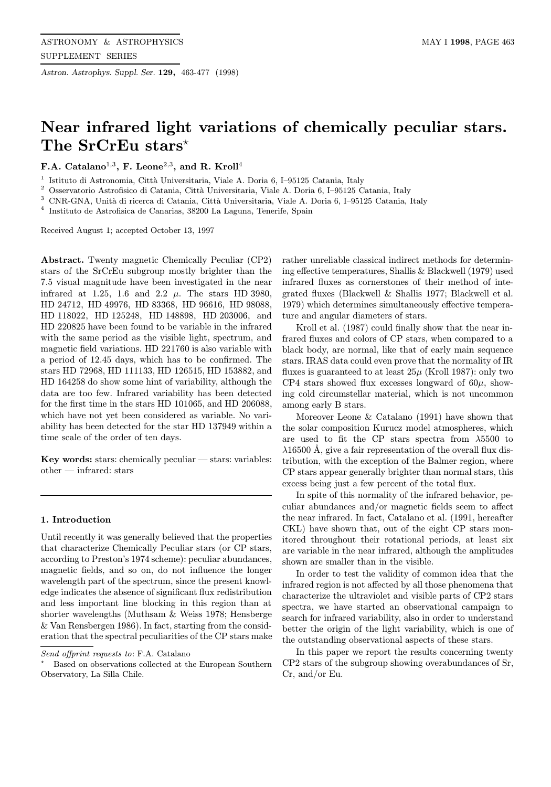Astron. Astrophys. Suppl. Ser. 129, 463-477 (1998)

# Near infrared light variations of chemically peculiar stars. The SrCrEu stars<sup>\*</sup>

F.A. Catalano<sup>1,3</sup>, F. Leone<sup>2,3</sup>, and R. Kroll<sup>4</sup>

<sup>1</sup> Istituto di Astronomia, Città Universitaria, Viale A. Doria 6, I–95125 Catania, Italy <sup>2</sup> Osservatorio Astroficisco di Cotania, Città Universitaria, Viale A. Doria 6, I. 05125 C

<sup>2</sup> Osservatorio Astrofisico di Catania, Città Universitaria, Viale A. Doria 6, I–95125 Catania, Italy <sup>3</sup> CNP CNA. Unità di ricorca di Catania, Città Universitaria, Viale A. Doria 6, I. 05125 Catania, l

<sup>3</sup> CNR-GNA, Unit`a di ricerca di Catania, Citt`a Universitaria, Viale A. Doria 6, I–95125 Catania, Italy

<sup>4</sup> Instituto de Astrofisica de Canarias, 38200 La Laguna, Tenerife, Spain

Received August 1; accepted October 13, 1997

Abstract. Twenty magnetic Chemically Peculiar (CP2) stars of the SrCrEu subgroup mostly brighter than the 7.5 visual magnitude have been investigated in the near infrared at 1.25, 1.6 and 2.2  $\mu$ . The stars HD 3980, HD 24712, HD 49976, HD 83368, HD 96616, HD 98088, HD 118022, HD 125248, HD 148898, HD 203006, and HD 220825 have been found to be variable in the infrared with the same period as the visible light, spectrum, and magnetic field variations. HD 221760 is also variable with a period of 12.45 days, which has to be confirmed. The stars HD 72968, HD 111133, HD 126515, HD 153882, and HD 164258 do show some hint of variability, although the data are too few. Infrared variability has been detected for the first time in the stars HD 101065, and HD 206088, which have not yet been considered as variable. No variability has been detected for the star HD 137949 within a time scale of the order of ten days.

Key words: stars: chemically peculiar  $-$  stars: variables: other — infrared: stars

# 1. Introduction

Until recently it was generally believed that the properties that characterize Chemically Peculiar stars (or CP stars, according to Preston's 1974 scheme): peculiar abundances, magnetic fields, and so on, do not influence the longer wavelength part of the spectrum, since the present knowledge indicates the absence of significant flux redistribution and less important line blocking in this region than at shorter wavelengths (Muthsam & Weiss 1978; Hensberge & Van Rensbergen 1986). In fact, starting from the consideration that the spectral peculiarities of the CP stars make rather unreliable classical indirect methods for determining effective temperatures, Shallis & Blackwell (1979) used infrared fluxes as cornerstones of their method of integrated fluxes (Blackwell & Shallis 1977; Blackwell et al. 1979) which determines simultaneously effective temperature and angular diameters of stars.

Kroll et al. (1987) could finally show that the near infrared fluxes and colors of CP stars, when compared to a black body, are normal, like that of early main sequence stars. IRAS data could even prove that the normality of IR fluxes is guaranteed to at least  $25\mu$  (Kroll 1987): only two CP4 stars showed flux excesses longward of  $60\mu$ , showing cold circumstellar material, which is not uncommon among early B stars.

Moreover Leone & Catalano (1991) have shown that the solar composition Kurucz model atmospheres, which are used to fit the CP stars spectra from  $\lambda$ 5500 to  $\lambda$ 16500 Å, give a fair representation of the overall flux distribution, with the exception of the Balmer region, where CP stars appear generally brighter than normal stars, this excess being just a few percent of the total flux.

In spite of this normality of the infrared behavior, peculiar abundances and/or magnetic fields seem to affect the near infrared. In fact, Catalano et al. (1991, hereafter CKL) have shown that, out of the eight CP stars monitored throughout their rotational periods, at least six are variable in the near infrared, although the amplitudes shown are smaller than in the visible.

In order to test the validity of common idea that the infrared region is not affected by all those phenomena that characterize the ultraviolet and visible parts of CP2 stars spectra, we have started an observational campaign to search for infrared variability, also in order to understand better the origin of the light variability, which is one of the outstanding observational aspects of these stars.

In this paper we report the results concerning twenty CP2 stars of the subgroup showing overabundances of Sr, Cr, and/or Eu.

Send offprint requests to: F.A. Catalano

<sup>?</sup> Based on observations collected at the European Southern Observatory, La Silla Chile.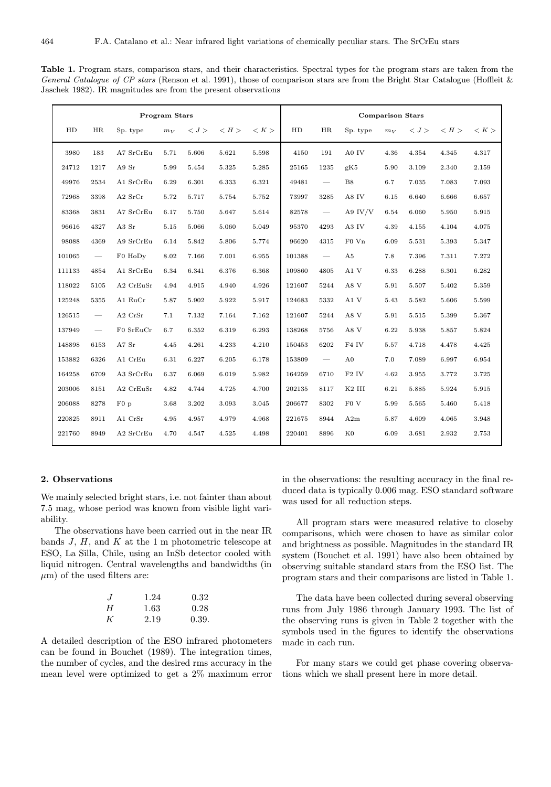| <b>Program Stars</b> |                          |           |       |       | <b>Comparison Stars</b> |       |            |                                 |                    |       |       |       |       |
|----------------------|--------------------------|-----------|-------|-------|-------------------------|-------|------------|---------------------------------|--------------------|-------|-------|-------|-------|
| ${\rm HD}$           | HR                       | Sp. type  | $m_V$ | < J > | < H                     | < K   | ${\rm HD}$ | HR                              | Sp. type           | $m_V$ | < J > | < H   | < K   |
| 3980                 | 183                      | A7 SrCrEu | 5.71  | 5.606 | 5.621                   | 5.598 | 4150       | 191                             | A0 IV              | 4.36  | 4.354 | 4.345 | 4.317 |
| 24712                | 1217                     | A9 Sr     | 5.99  | 5.454 | 5.325                   | 5.285 | 25165      | 1235                            | gK5                | 5.90  | 3.109 | 2.340 | 2.159 |
| 49976                | 2534                     | A1 SrCrEu | 6.29  | 6.301 | 6.333                   | 6.321 | 49481      | $\hspace{0.1mm}-\hspace{0.1mm}$ | B8                 | 6.7   | 7.035 | 7.083 | 7.093 |
| 72968                | 3398                     | $A2$ SrCr | 5.72  | 5.717 | 5.754                   | 5.752 | 73997      | 3285                            | A8 IV              | 6.15  | 6.640 | 6.666 | 6.657 |
| 83368                | 3831                     | A7 SrCrEu | 6.17  | 5.750 | 5.647                   | 5.614 | 82578      | $\hspace{0.1mm}-\hspace{0.1mm}$ | A9 IV/V            | 6.54  | 6.060 | 5.950 | 5.915 |
| 96616                | 4327                     | A3 Sr     | 5.15  | 5.066 | 5.060                   | 5.049 | 95370      | 4293                            | A3 IV              | 4.39  | 4.155 | 4.104 | 4.075 |
| 98088                | 4369                     | A9 SrCrEu | 6.14  | 5.842 | 5.806                   | 5.774 | 96620      | 4315                            | $F0$ Vn            | 6.09  | 5.531 | 5.393 | 5.347 |
| 101065               | $\overline{\phantom{m}}$ | F0 HoDy   | 8.02  | 7.166 | 7.001                   | 6.955 | 101388     | $\overbrace{\qquad \qquad }^{}$ | A5                 | 7.8   | 7.396 | 7.311 | 7.272 |
| 111133               | 4854                     | A1 SrCrEu | 6.34  | 6.341 | 6.376                   | 6.368 | 109860     | 4805                            | A1V                | 6.33  | 6.288 | 6.301 | 6.282 |
| 118022               | 5105                     | A2 CrEuSr | 4.94  | 4.915 | 4.940                   | 4.926 | 121607     | 5244                            | A8 V               | 5.91  | 5.507 | 5.402 | 5.359 |
| 125248               | 5355                     | A1 EuCr   | 5.87  | 5.902 | 5.922                   | 5.917 | 124683     | 5332                            | $\rm A1~V$         | 5.43  | 5.582 | 5.606 | 5.599 |
| 126515               |                          | A2 CrSr   | 7.1   | 7.132 | 7.164                   | 7.162 | 121607     | 5244                            | A8 V               | 5.91  | 5.515 | 5.399 | 5.367 |
| 137949               | $\overline{\phantom{a}}$ | F0 SrEuCr | 6.7   | 6.352 | 6.319                   | 6.293 | 138268     | 5756                            | $\rm A8~V$         | 6.22  | 5.938 | 5.857 | 5.824 |
| 148898               | 6153                     | A7 Sr     | 4.45  | 4.261 | 4.233                   | 4.210 | 150453     | 6202                            | F <sub>4</sub> IV  | 5.57  | 4.718 | 4.478 | 4.425 |
| 153882               | 6326                     | A1 CrEu   | 6.31  | 6.227 | 6.205                   | 6.178 | 153809     | $\overbrace{\qquad \qquad }^{}$ | A <sub>0</sub>     | 7.0   | 7.089 | 6.997 | 6.954 |
| 164258               | 6709                     | A3 SrCrEu | 6.37  | 6.069 | 6.019                   | 5.982 | 164259     | 6710                            | $\rm F2$ IV        | 4.62  | 3.955 | 3.772 | 3.725 |
| 203006               | 8151                     | A2 CrEuSr | 4.82  | 4.744 | 4.725                   | 4.700 | 202135     | 8117                            | K <sub>2</sub> III | 6.21  | 5.885 | 5.924 | 5.915 |
| 206088               | 8278                     | $F0$ p    | 3.68  | 3.202 | 3.093                   | 3.045 | 206677     | 8302                            | ${\rm F0}$ V       | 5.99  | 5.565 | 5.460 | 5.418 |
| 220825               | 8911                     | A1 CrSr   | 4.95  | 4.957 | 4.979                   | 4.968 | 221675     | 8944                            | A2m                | 5.87  | 4.609 | 4.065 | 3.948 |
| 221760               | 8949                     | A2 SrCrEu | 4.70  | 4.547 | 4.525                   | 4.498 | 220401     | 8896                            | $_{\rm K0}$        | 6.09  | 3.681 | 2.932 | 2.753 |

Table 1. Program stars, comparison stars, and their characteristics. Spectral types for the program stars are taken from the General Catalogue of CP stars (Renson et al. 1991), those of comparison stars are from the Bright Star Catalogue (Hoffleit & Jaschek 1982). IR magnitudes are from the present observations

# 2. Observations

We mainly selected bright stars, i.e. not fainter than about 7.5 mag, whose period was known from visible light variability.

The observations have been carried out in the near IR bands  $J, H$ , and  $K$  at the 1 m photometric telescope at ESO, La Silla, Chile, using an InSb detector cooled with liquid nitrogen. Central wavelengths and bandwidths (in  $\mu$ m) of the used filters are:

| $\cdot$ . | 1.24 | 0.32  |
|-----------|------|-------|
| H         | 1.63 | 0.28  |
| K         | 2.19 | 0.39. |

A detailed description of the ESO infrared photometers can be found in Bouchet (1989). The integration times, the number of cycles, and the desired rms accuracy in the mean level were optimized to get a 2% maximum error in the observations: the resulting accuracy in the final reduced data is typically 0.006 mag. ESO standard software was used for all reduction steps.

All program stars were measured relative to closeby comparisons, which were chosen to have as similar color and brightness as possible. Magnitudes in the standard IR system (Bouchet et al. 1991) have also been obtained by observing suitable standard stars from the ESO list. The program stars and their comparisons are listed in Table 1.

The data have been collected during several observing runs from July 1986 through January 1993. The list of the observing runs is given in Table 2 together with the symbols used in the figures to identify the observations made in each run.

For many stars we could get phase covering observations which we shall present here in more detail.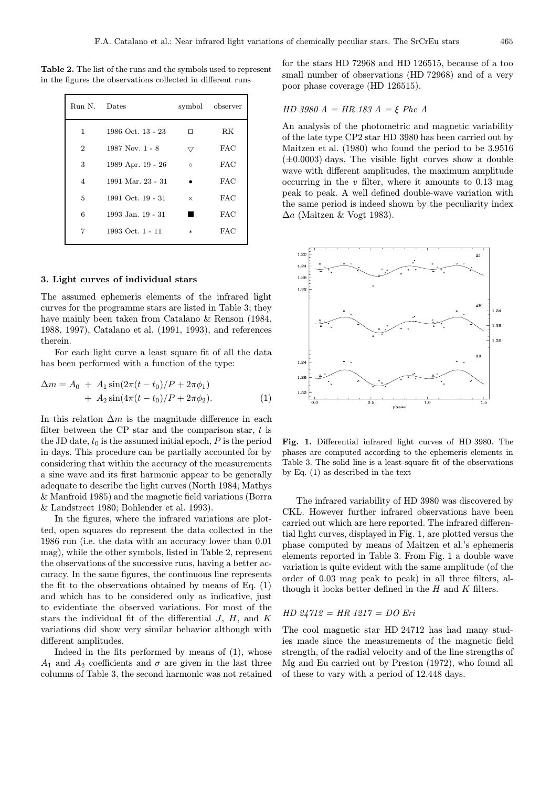Table 2. The list of the runs and the symbols used to represent in the figures the observations collected in different runs

| Run N. Dates   |                       |          | symbol observer |  |
|----------------|-----------------------|----------|-----------------|--|
| $\mathbf{1}$   | 1986 Oct. 13 - 23     | п        | RK              |  |
| $\overline{2}$ | $1987$ Nov. 1 - 8     | 77       | <b>FAC</b>      |  |
| 3              | 1989 Apr. 19 - 26     | $\circ$  | FAC             |  |
| $\overline{4}$ | 1991 Mar. 23 - 31     |          | FAC             |  |
| 5              | 1991 Oct. $19 - 31$   | $\times$ | FAC             |  |
| 6              | $1993$ Jan. $19 - 31$ |          | FAC             |  |
| 7              | 1993 Oct. 1 - 11      | $\ast$   | FAC             |  |
|                |                       |          |                 |  |

# 3. Light curves of individual stars

The assumed ephemeris elements of the infrared light curves for the programme stars are listed in Table 3; they have mainly been taken from Catalano & Renson (1984, 1988, 1997), Catalano et al. (1991, 1993), and references therein.

For each light curve a least square fit of all the data has been performed with a function of the type:

$$
\Delta m = A_0 + A_1 \sin(2\pi (t - t_0)/P + 2\pi \phi_1) + A_2 \sin(4\pi (t - t_0)/P + 2\pi \phi_2).
$$
 (1)

In this relation  $\Delta m$  is the magnitude difference in each filter between the CP star and the comparison star,  $t$  is the JD date,  $t_0$  is the assumed initial epoch,  $P$  is the period in days. This procedure can be partially accounted for by considering that within the accuracy of the measurements a sine wave and its first harmonic appear to be generally adequate to describe the light curves (North 1984; Mathys & Manfroid 1985) and the magnetic field variations (Borra & Landstreet 1980; Bohlender et al. 1993).

In the figures, where the infrared variations are plotted, open squares do represent the data collected in the 1986 run (i.e. the data with an accuracy lower than 0.01 mag), while the other symbols, listed in Table 2, represent the observations of the successive runs, having a better accuracy. In the same figures, the continuous line represents the fit to the observations obtained by means of Eq. (1) and which has to be considered only as indicative, just to evidentiate the observed variations. For most of the stars the individual fit of the differential  $J, H,$  and  $K$ variations did show very similar behavior although with different amplitudes.

Indeed in the fits performed by means of (1), whose  $A_1$  and  $A_2$  coefficients and  $\sigma$  are given in the last three columns of Table 3, the second harmonic was not retained

for the stars HD 72968 and HD 126515, because of a too small number of observations (HD 72968) and of a very poor phase coverage (HD 126515).

$$
HD 3980 A = HR 183 A = \xi Phe A
$$

An analysis of the photometric and magnetic variability of the late type CP2 star HD 3980 has been carried out by Maitzen et al. (1980) who found the period to be 3.9516  $(\pm 0.0003)$  days. The visible light curves show a double wave with different amplitudes, the maximum amplitude occurring in the  $v$  filter, where it amounts to 0.13 mag peak to peak. A well defined double-wave variation with the same period is indeed shown by the peculiarity index  $\Delta a$  (Maitzen & Vogt 1983).



Fig. 1. Differential infrared light curves of HD 3980. The phases are computed according to the ephemeris elements in Table 3. The solid line is a least-square fit of the observations by Eq. (1) as described in the text

The infrared variability of HD 3980 was discovered by CKL. However further infrared observations have been carried out which are here reported. The infrared differential light curves, displayed in Fig. 1, are plotted versus the phase computed by means of Maitzen et al.'s ephemeris elements reported in Table 3. From Fig. 1 a double wave variation is quite evident with the same amplitude (of the order of 0.03 mag peak to peak) in all three filters, although it looks better defined in the  $H$  and  $K$  filters.

#### HD 24712 = HR 1217 = DO Eri

The cool magnetic star HD 24712 has had many studies made since the measurements of the magnetic field strength, of the radial velocity and of the line strengths of Mg and Eu carried out by Preston (1972), who found all of these to vary with a period of 12.448 days.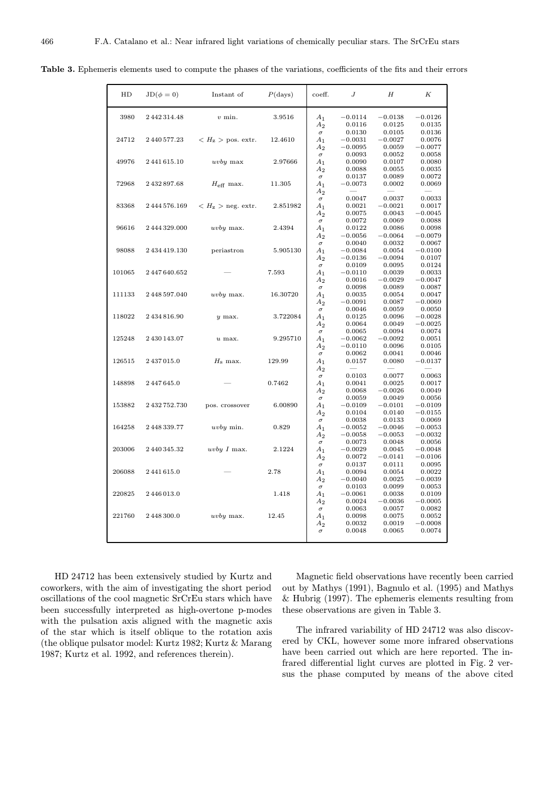| HD     | $JD(\phi = 0)$ | Instant of                                         | $P$ (days) | coeff.                                                | J                                          | H                                       | K                                       |
|--------|----------------|----------------------------------------------------|------------|-------------------------------------------------------|--------------------------------------------|-----------------------------------------|-----------------------------------------|
| 3980   | 2442314.48     | $v$ min.                                           | 3.9516     | A <sub>1</sub>                                        | $-0.0114$                                  | $-0.0138$                               | $-0.0126$                               |
| 24712  | 2 440 577.23   | $\langle H_{\rm z} \rangle$ pos. extr.             | 12.4610    | A <sub>2</sub><br>$\sigma$<br>$A_1$<br>A <sub>2</sub> | 0.0116<br>0.0130<br>$-0.0031$<br>$-0.0095$ | 0.0125<br>0.0105<br>$-0.0027$<br>0.0059 | 0.0135<br>0.0136<br>0.0076<br>$-0.0077$ |
| 49976  | 2441615.10     | uvby max                                           | 2.97666    | $\sigma$<br>$A_1$<br>$A_2$                            | 0.0093<br>0.0090<br>0.0088                 | 0.0052<br>0.0107<br>0.0055              | 0.0058<br>0.0080<br>0.0035              |
| 72968  | 2432897.68     | $H_{\mbox{\scriptsize eff}}$ max.                  | 11.305     | $\sigma$<br>$A_1$<br>$A_2$                            | 0.0137<br>$-0.0073$                        | 0.0089<br>0.0002                        | 0.0072<br>0.0069                        |
| 83368  | 2444576.169    | $<$ $H_{\rm Z}$ $>$ neg. extr. $\qquad$ $2.851982$ |            | $\sigma$<br>A <sub>1</sub><br>$A_2$                   | 0.0047<br>0.0021<br>0.0075                 | 0.0037<br>$-0.0021$<br>0.0043           | 0.0033<br>0.0017<br>$-0.0045$           |
| 96616  | 2 444 329.000  | uvby max.                                          | 2.4394     | $\sigma$<br>$A_1$<br>$A_2$                            | 0.0072<br>0.0122<br>$-0.0056$              | 0.0069<br>0.0086<br>$-0.0064$           | 0.0088<br>0.0098<br>$-0.0079$           |
| 98088  | 2 434 419.130  | periastron                                         | 5.905130   | $\sigma$<br>$A_1$<br>$A_2$                            | 0.0040<br>$-0.0084$<br>$-0.0136$           | 0.0032<br>0.0054<br>$-0.0094$           | 0.0067<br>$-0.0100$<br>0.0107           |
| 101065 | 2447640.652    |                                                    | 7.593      | $\sigma$<br>$A_1$<br>$A_2$                            | 0.0109<br>$-0.0110$<br>0.0016              | 0.0095<br>0.0039<br>$-0.0029$           | 0.0124<br>0.0033<br>$-0.0047$           |
| 111133 | 2448597.040    | uvby max.                                          | 16.30720   | $\sigma$<br>A <sub>1</sub><br>$A_2$                   | 0.0098<br>0.0035<br>$-0.0091$              | 0.0089<br>0.0054<br>0.0087              | 0.0087<br>0.0047<br>$-0.0069$           |
| 118022 | 2434816.90     | $y$ max.                                           | 3.722084   | $\sigma$<br>$A_1$<br>$A_2$                            | 0.0046<br>0.0125<br>0.0064                 | 0.0059<br>0.0096<br>0.0049              | 0.0050<br>$-0.0028$<br>$-0.0025$        |
| 125248 | 2430143.07     | $u$ max.                                           | 9.295710   | $\sigma$<br>$A_1$<br>$A_2$                            | 0.0065<br>$-0.0062$<br>$-0.0110$           | 0.0094<br>$-0.0092$<br>0.0096           | 0.0074<br>0.0051<br>0.0105              |
| 126515 | 2437015.0      | $H_{\rm s}$ max.                                   | 129.99     | $\sigma$<br>$A_1$<br>$A_2$                            | 0.0062<br>0.0157                           | 0.0041<br>0.0080                        | 0.0046<br>$-0.0137$                     |
| 148898 | 2447645.0      |                                                    | 0.7462     | $\sigma$<br>$A_1$<br>$A_2$                            | 0.0103<br>0.0041<br>0.0068                 | 0.0077<br>0.0025<br>$-0.0026$           | 0.0063<br>0.0017<br>0.0049              |
| 153882 | 2 432 752.730  | pos. crossover                                     | 6.00890    | $\sigma$<br>$A_1$<br>$A_2$                            | 0.0059<br>$-0.0109$<br>0.0104              | 0.0049<br>$-0.0101$<br>0.0140           | 0.0056<br>$-0.0109$<br>$-0.0155$        |
| 164258 | 2448339.77     | uvby min.                                          | 0.829      | $\sigma$<br>$A_1$<br>A <sub>2</sub>                   | 0.0038<br>$-0.0052$<br>$-0.0058$           | 0.0133<br>$-0.0046$<br>$-0.0053$        | 0.0069<br>$-0.0053$<br>$-0.0032$        |
| 203006 | 2440345.32     | uvby I max.                                        | 2.1224     | $\sigma$<br>$A_1$<br>$A_2$                            | 0.0073<br>$-0.0029$<br>0.0072              | 0.0048<br>0.0045<br>$-0.0141$           | 0.0056<br>$-0.0048$<br>$-0.0106$        |
| 206088 | 2441615.0      |                                                    | 2.78       | $\sigma$<br>$\mathcal{A}_1$<br>$A_2$                  | 0.0137<br>0.0094<br>$-0.0040$              | 0.0111<br>0.0054<br>0.0025              | 0.0095<br>0.0022<br>$-0.0039$           |
| 220825 | 2446013.0      |                                                    | 1.418      | $\sigma$<br>$A_1$<br>$A_2$                            | 0.0103<br>$-0.0061$<br>0.0024              | 0.0099<br>0.0038<br>$-0.0036$           | 0.0053<br>0.0109<br>$-0.0005$           |
| 221760 | 2448300.0      | $uvby$ max.                                        | 12.45      | $\sigma$<br>$A_1$<br>$A_2$                            | 0.0063<br>0.0098<br>0.0032                 | 0.0057<br>0.0075<br>0.0019              | 0.0082<br>0.0052<br>$-0.0008$           |
|        |                |                                                    |            | $\sigma$                                              | 0.0048                                     | 0.0065                                  | 0.0074                                  |

Table 3. Ephemeris elements used to compute the phases of the variations, coefficients of the fits and their errors

HD 24712 has been extensively studied by Kurtz and coworkers, with the aim of investigating the short period oscillations of the cool magnetic SrCrEu stars which have been successfully interpreted as high-overtone p-modes with the pulsation axis aligned with the magnetic axis of the star which is itself oblique to the rotation axis (the oblique pulsator model: Kurtz 1982; Kurtz & Marang 1987; Kurtz et al. 1992, and references therein).

Magnetic field observations have recently been carried out by Mathys (1991), Bagnulo et al. (1995) and Mathys & Hubrig (1997). The ephemeris elements resulting from these observations are given in Table 3.

The infrared variability of HD 24712 was also discovered by CKL, however some more infrared observations have been carried out which are here reported. The infrared differential light curves are plotted in Fig. 2 versus the phase computed by means of the above cited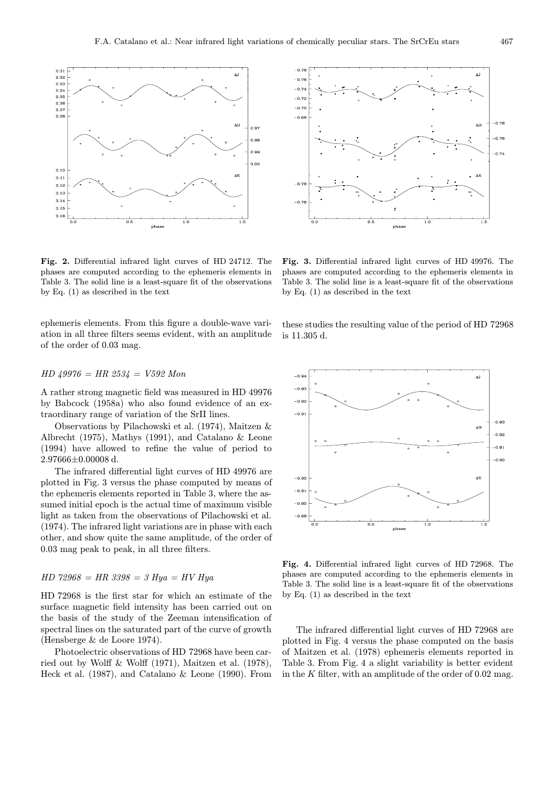

Fig. 2. Differential infrared light curves of HD 24712. The phases are computed according to the ephemeris elements in Table 3. The solid line is a least-square fit of the observations by Eq. (1) as described in the text

ephemeris elements. From this figure a double-wave variation in all three filters seems evident, with an amplitude of the order of 0.03 mag.

# $HD$  49976 = HR 2534 = V592 Mon

A rather strong magnetic field was measured in HD 49976 by Babcock (1958a) who also found evidence of an extraordinary range of variation of the SrII lines.

Observations by Pilachowski et al. (1974), Maitzen & Albrecht (1975), Mathys (1991), and Catalano & Leone (1994) have allowed to refine the value of period to 2.97666±0.00008 d.

The infrared differential light curves of HD 49976 are plotted in Fig. 3 versus the phase computed by means of the ephemeris elements reported in Table 3, where the assumed initial epoch is the actual time of maximum visible light as taken from the observations of Pilachowski et al. (1974). The infrared light variations are in phase with each other, and show quite the same amplitude, of the order of 0.03 mag peak to peak, in all three filters.

# $HD 72968 = HR 3398 = 3 Hya = HV Hya$

HD 72968 is the first star for which an estimate of the surface magnetic field intensity has been carried out on the basis of the study of the Zeeman intensification of spectral lines on the saturated part of the curve of growth (Hensberge & de Loore 1974).

Photoelectric observations of HD 72968 have been carried out by Wolff & Wolff (1971), Maitzen et al. (1978), Heck et al. (1987), and Catalano & Leone (1990). From



Fig. 3. Differential infrared light curves of HD 49976. The phases are computed according to the ephemeris elements in Table 3. The solid line is a least-square fit of the observations by Eq. (1) as described in the text

these studies the resulting value of the period of HD 72968 is 11.305 d.



Fig. 4. Differential infrared light curves of HD 72968. The phases are computed according to the ephemeris elements in Table 3. The solid line is a least-square fit of the observations by Eq. (1) as described in the text

The infrared differential light curves of HD 72968 are plotted in Fig. 4 versus the phase computed on the basis of Maitzen et al. (1978) ephemeris elements reported in Table 3. From Fig. 4 a slight variability is better evident in the  $K$  filter, with an amplitude of the order of 0.02 mag.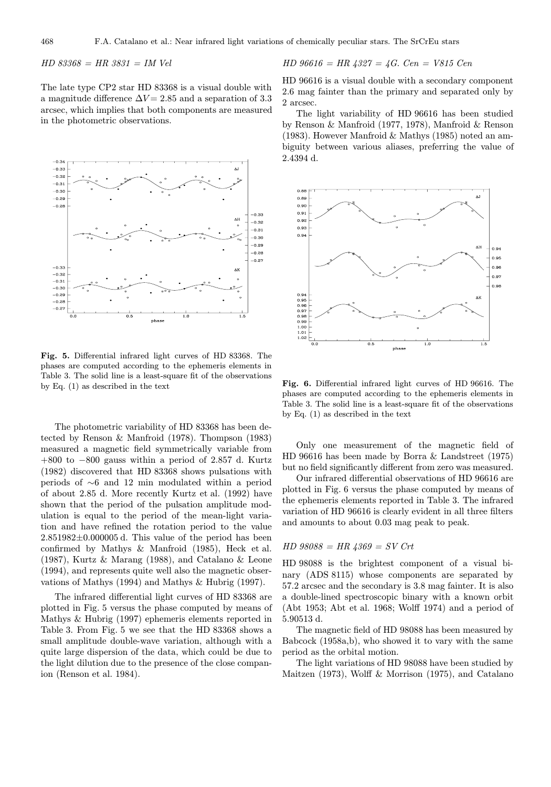$HD 83368 = HR 3831 = IM Vel$ 

The late type CP2 star HD 83368 is a visual double with a magnitude difference  $\Delta V = 2.85$  and a separation of 3.3 arcsec, which implies that both components are measured in the photometric observations.



Fig. 5. Differential infrared light curves of HD 83368. The phases are computed according to the ephemeris elements in Table 3. The solid line is a least-square fit of the observations by Eq. (1) as described in the text

The photometric variability of HD 83368 has been detected by Renson & Manfroid (1978). Thompson (1983) measured a magnetic field symmetrically variable from +800 to −800 gauss within a period of 2.857 d. Kurtz (1982) discovered that HD 83368 shows pulsations with periods of ∼6 and 12 min modulated within a period of about 2.85 d. More recently Kurtz et al. (1992) have shown that the period of the pulsation amplitude modulation is equal to the period of the mean-light variation and have refined the rotation period to the value  $2.851982\pm0.000005$  d. This value of the period has been confirmed by Mathys & Manfroid (1985), Heck et al. (1987), Kurtz & Marang (1988), and Catalano & Leone (1994), and represents quite well also the magnetic observations of Mathys (1994) and Mathys & Hubrig (1997).

The infrared differential light curves of HD 83368 are plotted in Fig. 5 versus the phase computed by means of Mathys & Hubrig (1997) ephemeris elements reported in Table 3. From Fig. 5 we see that the HD 83368 shows a small amplitude double-wave variation, although with a quite large dispersion of the data, which could be due to the light dilution due to the presence of the close companion (Renson et al. 1984).

HD 96616 = HR 
$$
4327 = 4G
$$
. Cen = V815 Cen

HD 96616 is a visual double with a secondary component 2.6 mag fainter than the primary and separated only by 2 arcsec.

The light variability of HD 96616 has been studied by Renson & Manfroid (1977, 1978), Manfroid & Renson (1983). However Manfroid & Mathys (1985) noted an ambiguity between various aliases, preferring the value of 2.4394 d.



Fig. 6. Differential infrared light curves of HD 96616. The phases are computed according to the ephemeris elements in Table 3. The solid line is a least-square fit of the observations by Eq. (1) as described in the text

Only one measurement of the magnetic field of HD 96616 has been made by Borra & Landstreet (1975) but no field significantly different from zero was measured.

Our infrared differential observations of HD 96616 are plotted in Fig. 6 versus the phase computed by means of the ephemeris elements reported in Table 3. The infrared variation of HD 96616 is clearly evident in all three filters and amounts to about 0.03 mag peak to peak.

#### $HD 98088 = HR 4369 = SV Crt$

HD 98088 is the brightest component of a visual binary (ADS 8115) whose components are separated by 57.2 arcsec and the secondary is 3.8 mag fainter. It is also a double-lined spectroscopic binary with a known orbit (Abt 1953; Abt et al. 1968; Wolff 1974) and a period of 5.90513 d.

The magnetic field of HD 98088 has been measured by Babcock (1958a,b), who showed it to vary with the same period as the orbital motion.

The light variations of HD 98088 have been studied by Maitzen (1973), Wolff & Morrison (1975), and Catalano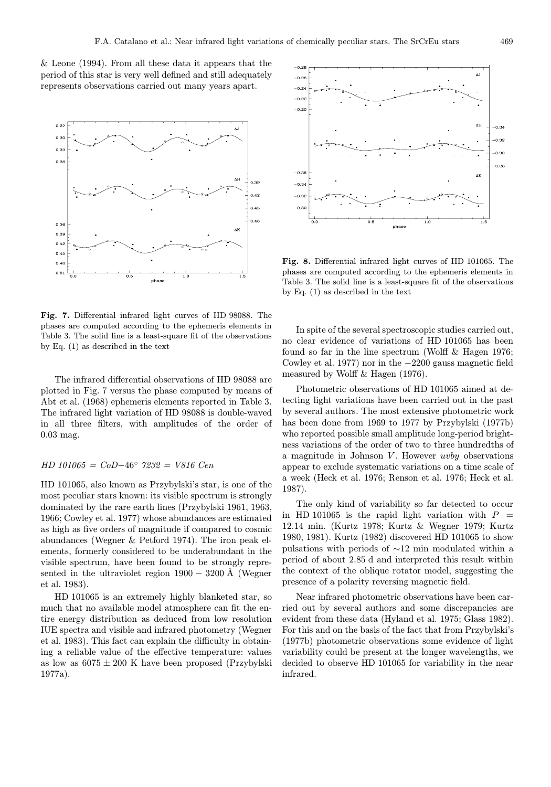& Leone (1994). From all these data it appears that the period of this star is very well defined and still adequately represents observations carried out many years apart.



Fig. 7. Differential infrared light curves of HD 98088. The phases are computed according to the ephemeris elements in Table 3. The solid line is a least-square fit of the observations by Eq. (1) as described in the text

The infrared differential observations of HD 98088 are plotted in Fig. 7 versus the phase computed by means of Abt et al. (1968) ephemeris elements reported in Table 3. The infrared light variation of HD 98088 is double-waved in all three filters, with amplitudes of the order of 0.03 mag.

#### HD 101065 = CoD−46◦ 7232 = V816 Cen

HD 101065, also known as Przybylski's star, is one of the most peculiar stars known: its visible spectrum is strongly dominated by the rare earth lines (Przybylski 1961, 1963, 1966; Cowley et al. 1977) whose abundances are estimated as high as five orders of magnitude if compared to cosmic abundances (Wegner & Petford 1974). The iron peak elements, formerly considered to be underabundant in the visible spectrum, have been found to be strongly represented in the ultraviolet region  $1900 - 3200$  Å (Wegner et al. 1983).

HD 101065 is an extremely highly blanketed star, so much that no available model atmosphere can fit the entire energy distribution as deduced from low resolution IUE spectra and visible and infrared photometry (Wegner et al. 1983). This fact can explain the difficulty in obtaining a reliable value of the effective temperature: values as low as  $6075 \pm 200$  K have been proposed (Przybylski 1977a).



Fig. 8. Differential infrared light curves of HD 101065. The phases are computed according to the ephemeris elements in Table 3. The solid line is a least-square fit of the observations by Eq. (1) as described in the text

In spite of the several spectroscopic studies carried out, no clear evidence of variations of HD 101065 has been found so far in the line spectrum (Wolff & Hagen 1976; Cowley et al. 1977) nor in the −2200 gauss magnetic field measured by Wolff & Hagen (1976).

Photometric observations of HD 101065 aimed at detecting light variations have been carried out in the past by several authors. The most extensive photometric work has been done from 1969 to 1977 by Przybylski (1977b) who reported possible small amplitude long-period brightness variations of the order of two to three hundredths of a magnitude in Johnson  $V$ . However *uvby* observations appear to exclude systematic variations on a time scale of a week (Heck et al. 1976; Renson et al. 1976; Heck et al. 1987).

The only kind of variability so far detected to occur in HD 101065 is the rapid light variation with  $P =$ 12.14 min. (Kurtz 1978; Kurtz & Wegner 1979; Kurtz 1980, 1981). Kurtz (1982) discovered HD 101065 to show pulsations with periods of ∼12 min modulated within a period of about 2.85 d and interpreted this result within the context of the oblique rotator model, suggesting the presence of a polarity reversing magnetic field.

Near infrared photometric observations have been carried out by several authors and some discrepancies are evident from these data (Hyland et al. 1975; Glass 1982). For this and on the basis of the fact that from Przybylski's (1977b) photometric observations some evidence of light variability could be present at the longer wavelengths, we decided to observe HD 101065 for variability in the near infrared.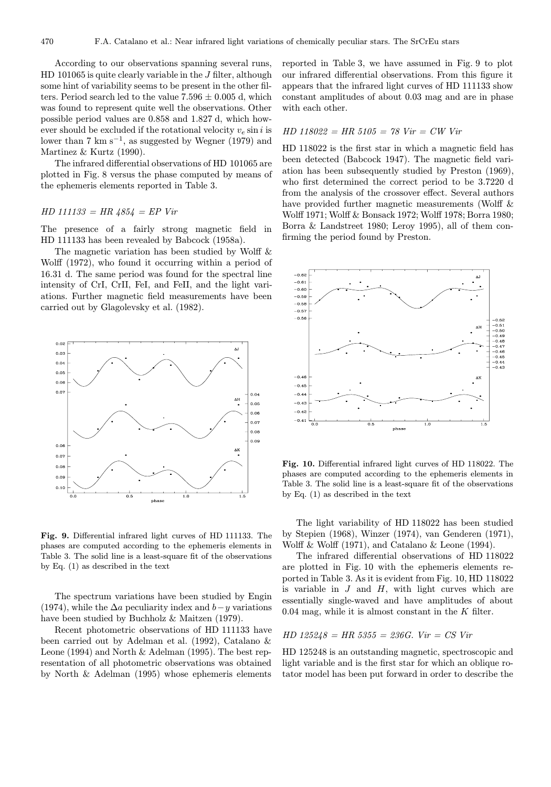According to our observations spanning several runs, HD 101065 is quite clearly variable in the J filter, although some hint of variability seems to be present in the other filters. Period search led to the value  $7.596 \pm 0.005$  d, which was found to represent quite well the observations. Other possible period values are 0.858 and 1.827 d, which however should be excluded if the rotational velocity  $v_e \sin i$  is lower than 7 km s<sup> $-1$ </sup>, as suggested by Wegner (1979) and Martinez & Kurtz (1990).

The infrared differential observations of HD 101065 are plotted in Fig. 8 versus the phase computed by means of the ephemeris elements reported in Table 3.

# $HD 111133 = HR 4854 = EP Vir$

The presence of a fairly strong magnetic field in HD 111133 has been revealed by Babcock (1958a).

The magnetic variation has been studied by Wolff & Wolff (1972), who found it occurring within a period of 16.31 d. The same period was found for the spectral line intensity of CrI, CrII, FeI, and FeII, and the light variations. Further magnetic field measurements have been carried out by Glagolevsky et al. (1982).



Fig. 9. Differential infrared light curves of HD 111133. The phases are computed according to the ephemeris elements in Table 3. The solid line is a least-square fit of the observations by Eq. (1) as described in the text

The spectrum variations have been studied by Engin (1974), while the  $\Delta a$  peculiarity index and  $b-y$  variations have been studied by Buchholz & Maitzen (1979).

Recent photometric observations of HD 111133 have been carried out by Adelman et al. (1992), Catalano & Leone (1994) and North & Adelman (1995). The best representation of all photometric observations was obtained by North & Adelman (1995) whose ephemeris elements reported in Table 3, we have assumed in Fig. 9 to plot our infrared differential observations. From this figure it appears that the infrared light curves of HD 111133 show constant amplitudes of about 0.03 mag and are in phase with each other.

#### $HD 118022 = HR 5105 = 78$   $Vir = CW$   $Vir$

HD 118022 is the first star in which a magnetic field has been detected (Babcock 1947). The magnetic field variation has been subsequently studied by Preston (1969), who first determined the correct period to be 3.7220 d from the analysis of the crossover effect. Several authors have provided further magnetic measurements (Wolff  $\&$ Wolff 1971; Wolff & Bonsack 1972; Wolff 1978; Borra 1980; Borra & Landstreet 1980; Leroy 1995), all of them confirming the period found by Preston.



Fig. 10. Differential infrared light curves of HD 118022. The phases are computed according to the ephemeris elements in Table 3. The solid line is a least-square fit of the observations by Eq. (1) as described in the text

The light variability of HD 118022 has been studied by Stepien (1968), Winzer (1974), van Genderen (1971), Wolff & Wolff (1971), and Catalano & Leone (1994).

The infrared differential observations of HD 118022 are plotted in Fig. 10 with the ephemeris elements reported in Table 3. As it is evident from Fig. 10, HD 118022 is variable in  $J$  and  $H$ , with light curves which are essentially single-waved and have amplitudes of about 0.04 mag, while it is almost constant in the  $K$  filter.

#### $HD 125248 = HR 5355 = 236G.$   $Vir = CS Vir$

HD 125248 is an outstanding magnetic, spectroscopic and light variable and is the first star for which an oblique rotator model has been put forward in order to describe the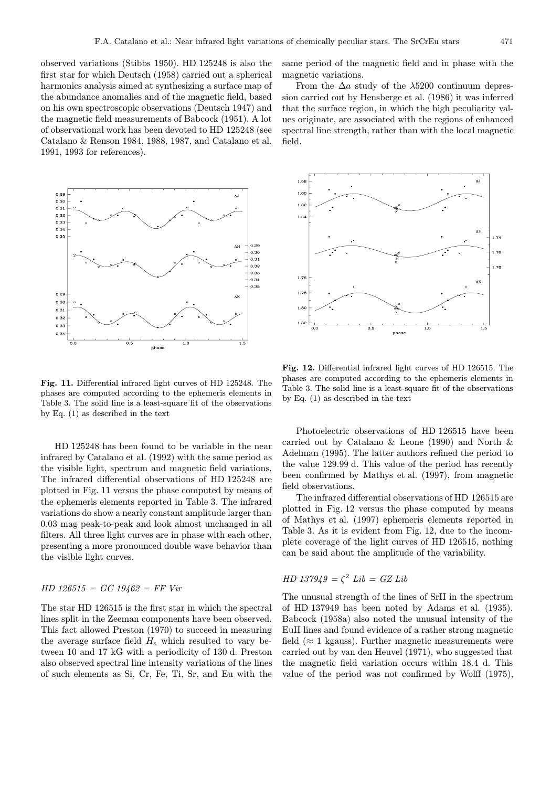observed variations (Stibbs 1950). HD 125248 is also the first star for which Deutsch (1958) carried out a spherical harmonics analysis aimed at synthesizing a surface map of the abundance anomalies and of the magnetic field, based on his own spectroscopic observations (Deutsch 1947) and the magnetic field measurements of Babcock (1951). A lot of observational work has been devoted to HD 125248 (see Catalano & Renson 1984, 1988, 1987, and Catalano et al. 1991, 1993 for references).



Fig. 11. Differential infrared light curves of HD 125248. The phases are computed according to the ephemeris elements in Table 3. The solid line is a least-square fit of the observations by Eq. (1) as described in the text

HD 125248 has been found to be variable in the near infrared by Catalano et al. (1992) with the same period as the visible light, spectrum and magnetic field variations. The infrared differential observations of HD 125248 are plotted in Fig. 11 versus the phase computed by means of the ephemeris elements reported in Table 3. The infrared variations do show a nearly constant amplitude larger than 0.03 mag peak-to-peak and look almost unchanged in all filters. All three light curves are in phase with each other, presenting a more pronounced double wave behavior than the visible light curves.

# $HD 126515 = GC 19462 = FF Vir$

The star HD 126515 is the first star in which the spectral lines split in the Zeeman components have been observed. This fact allowed Preston (1970) to succeed in measuring the average surface field  $H<sub>s</sub>$  which resulted to vary between 10 and 17 kG with a periodicity of 130 d. Preston also observed spectral line intensity variations of the lines of such elements as Si, Cr, Fe, Ti, Sr, and Eu with the same period of the magnetic field and in phase with the magnetic variations.

From the  $\Delta a$  study of the  $\lambda$ 5200 continuum depression carried out by Hensberge et al. (1986) it was inferred that the surface region, in which the high peculiarity values originate, are associated with the regions of enhanced spectral line strength, rather than with the local magnetic field.



Fig. 12. Differential infrared light curves of HD 126515. The phases are computed according to the ephemeris elements in Table 3. The solid line is a least-square fit of the observations by Eq. (1) as described in the text

Photoelectric observations of HD 126515 have been carried out by Catalano & Leone (1990) and North & Adelman (1995). The latter authors refined the period to the value 129.99 d. This value of the period has recently been confirmed by Mathys et al. (1997), from magnetic field observations.

The infrared differential observations of HD 126515 are plotted in Fig. 12 versus the phase computed by means of Mathys et al. (1997) ephemeris elements reported in Table 3. As it is evident from Fig. 12, due to the incomplete coverage of the light curves of HD 126515, nothing can be said about the amplitude of the variability.

# $HD$  137949 =  $\zeta^2$  Lib = GZ Lib

The unusual strength of the lines of SrII in the spectrum of HD 137949 has been noted by Adams et al. (1935). Babcock (1958a) also noted the unusual intensity of the EuII lines and found evidence of a rather strong magnetic field ( $\approx$  1 kgauss). Further magnetic measurements were carried out by van den Heuvel (1971), who suggested that the magnetic field variation occurs within 18.4 d. This value of the period was not confirmed by Wolff (1975),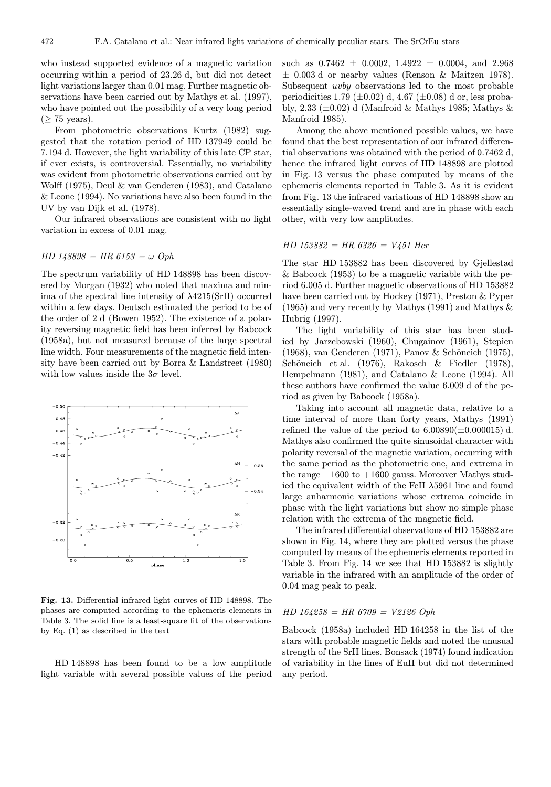who instead supported evidence of a magnetic variation occurring within a period of 23.26 d, but did not detect light variations larger than 0.01 mag. Further magnetic observations have been carried out by Mathys et al. (1997), who have pointed out the possibility of a very long period  $(\geq 75$  years).

From photometric observations Kurtz (1982) suggested that the rotation period of HD 137949 could be 7.194 d. However, the light variability of this late CP star, if ever exists, is controversial. Essentially, no variability was evident from photometric observations carried out by Wolff (1975), Deul & van Genderen (1983), and Catalano & Leone (1994). No variations have also been found in the UV by van Dijk et al. (1978).

Our infrared observations are consistent with no light variation in excess of 0.01 mag.

#### $HD\ 148898 = HR\ 6153 = \omega\ Oph$

The spectrum variability of HD 148898 has been discovered by Morgan (1932) who noted that maxima and minima of the spectral line intensity of  $\lambda$ 4215(SrII) occurred within a few days. Deutsch estimated the period to be of the order of 2 d (Bowen 1952). The existence of a polarity reversing magnetic field has been inferred by Babcock (1958a), but not measured because of the large spectral line width. Four measurements of the magnetic field intensity have been carried out by Borra & Landstreet (1980) with low values inside the  $3\sigma$  level.



Fig. 13. Differential infrared light curves of HD 148898. The phases are computed according to the ephemeris elements in Table 3. The solid line is a least-square fit of the observations by Eq. (1) as described in the text

HD 148898 has been found to be a low amplitude light variable with several possible values of the period such as  $0.7462 \pm 0.0002$ ,  $1.4922 \pm 0.0004$ , and  $2.968$  $\pm$  0.003 d or nearby values (Renson & Maitzen 1978). Subsequent uvby observations led to the most probable periodicities 1.79 ( $\pm$ 0.02) d, 4.67 ( $\pm$ 0.08) d or, less probably, 2.33 ( $\pm$ 0.02) d (Manfroid & Mathys 1985; Mathys & Manfroid 1985).

Among the above mentioned possible values, we have found that the best representation of our infrared differential observations was obtained with the period of 0.7462 d, hence the infrared light curves of HD 148898 are plotted in Fig. 13 versus the phase computed by means of the ephemeris elements reported in Table 3. As it is evident from Fig. 13 the infrared variations of HD 148898 show an essentially single-waved trend and are in phase with each other, with very low amplitudes.

#### $HD 153882 = HR 6326 = V451 Her$

The star HD 153882 has been discovered by Gjellestad & Babcock (1953) to be a magnetic variable with the period 6.005 d. Further magnetic observations of HD 153882 have been carried out by Hockey (1971), Preston & Pyper (1965) and very recently by Mathys (1991) and Mathys & Hubrig (1997).

The light variability of this star has been studied by Jarzebowski (1960), Chugainov (1961), Stepien (1968), van Genderen (1971), Panov & Schöneich (1975), Schöneich et al. (1976), Rakosch & Fiedler (1978), Hempelmann (1981), and Catalano & Leone (1994). All these authors have confirmed the value 6.009 d of the period as given by Babcock (1958a).

Taking into account all magnetic data, relative to a time interval of more than forty years, Mathys (1991) refined the value of the period to  $6.00890(\pm 0.000015)$  d. Mathys also confirmed the quite sinusoidal character with polarity reversal of the magnetic variation, occurring with the same period as the photometric one, and extrema in the range  $-1600$  to  $+1600$  gauss. Moreover Mathys studied the equivalent width of the FeII λ5961 line and found large anharmonic variations whose extrema coincide in phase with the light variations but show no simple phase relation with the extrema of the magnetic field.

The infrared differential observations of HD 153882 are shown in Fig. 14, where they are plotted versus the phase computed by means of the ephemeris elements reported in Table 3. From Fig. 14 we see that HD 153882 is slightly variable in the infrared with an amplitude of the order of 0.04 mag peak to peak.

# $HD 164258 = HR 6709 = V2126 Oph$

Babcock (1958a) included HD 164258 in the list of the stars with probable magnetic fields and noted the unusual strength of the SrII lines. Bonsack (1974) found indication of variability in the lines of EuII but did not determined any period.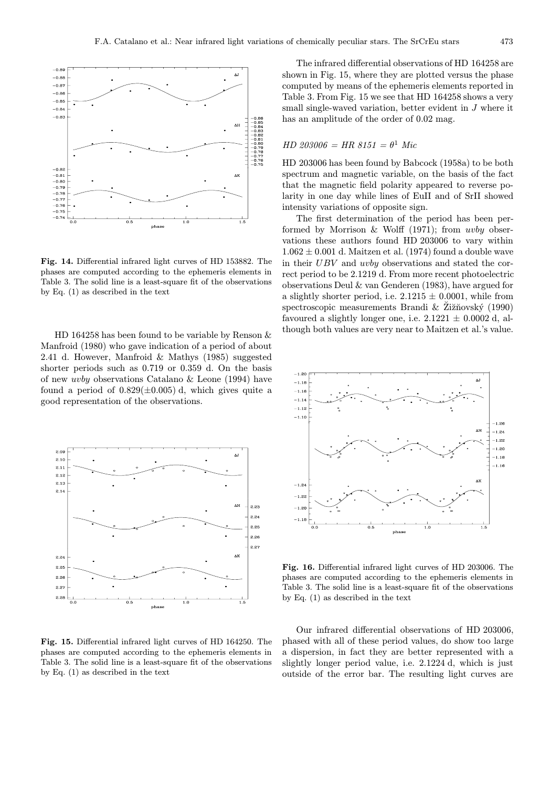

Fig. 14. Differential infrared light curves of HD 153882. The phases are computed according to the ephemeris elements in Table 3. The solid line is a least-square fit of the observations by Eq. (1) as described in the text

HD 164258 has been found to be variable by Renson & Manfroid (1980) who gave indication of a period of about 2.41 d. However, Manfroid & Mathys (1985) suggested shorter periods such as 0.719 or 0.359 d. On the basis of new uvby observations Catalano & Leone (1994) have found a period of  $0.829(\pm 0.005)$  d, which gives quite a good representation of the observations.



Fig. 15. Differential infrared light curves of HD 164250. The phases are computed according to the ephemeris elements in Table 3. The solid line is a least-square fit of the observations by Eq. (1) as described in the text

The infrared differential observations of HD 164258 are shown in Fig. 15, where they are plotted versus the phase computed by means of the ephemeris elements reported in Table 3. From Fig. 15 we see that HD 164258 shows a very small single-waved variation, better evident in J where it has an amplitude of the order of 0.02 mag.

# $HD 203006 = HR 8151 = \theta^1$  Mic

HD 203006 has been found by Babcock (1958a) to be both spectrum and magnetic variable, on the basis of the fact that the magnetic field polarity appeared to reverse polarity in one day while lines of EuII and of SrII showed intensity variations of opposite sign.

The first determination of the period has been performed by Morrison  $& Wolf$  (1971); from uvby observations these authors found HD 203006 to vary within  $1.062 \pm 0.001$  d. Maitzen et al. (1974) found a double wave in their UBV and uvby observations and stated the correct period to be 2.1219 d. From more recent photoelectric observations Deul & van Genderen (1983), have argued for a slightly shorter period, i.e.  $2.1215 \pm 0.0001$ , while from spectroscopic measurements Brandi  $\&$  Zi $\check{z}$  ziovský (1990) favoured a slightly longer one, i.e.  $2.1221 \pm 0.0002$  d, although both values are very near to Maitzen et al.'s value.



Fig. 16. Differential infrared light curves of HD 203006. The phases are computed according to the ephemeris elements in Table 3. The solid line is a least-square fit of the observations by Eq. (1) as described in the text

Our infrared differential observations of HD 203006, phased with all of these period values, do show too large a dispersion, in fact they are better represented with a slightly longer period value, i.e. 2.1224 d, which is just outside of the error bar. The resulting light curves are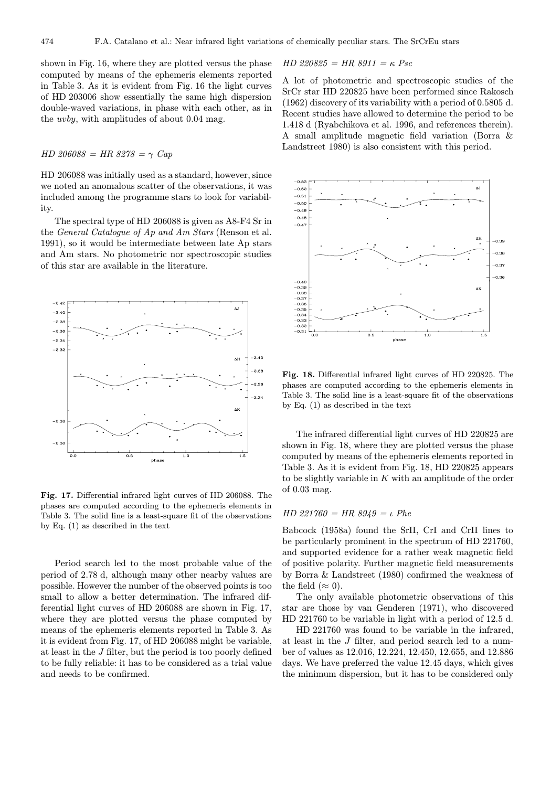shown in Fig. 16, where they are plotted versus the phase computed by means of the ephemeris elements reported in Table 3. As it is evident from Fig. 16 the light curves of HD 203006 show essentially the same high dispersion double-waved variations, in phase with each other, as in the uvby, with amplitudes of about 0.04 mag.

# $HD 206088 = HR 8278 = \gamma Cap$

HD 206088 was initially used as a standard, however, since we noted an anomalous scatter of the observations, it was included among the programme stars to look for variability.

The spectral type of HD 206088 is given as A8-F4 Sr in the General Catalogue of Ap and Am Stars (Renson et al. 1991), so it would be intermediate between late Ap stars and Am stars. No photometric nor spectroscopic studies of this star are available in the literature.



Fig. 17. Differential infrared light curves of HD 206088. The phases are computed according to the ephemeris elements in Table 3. The solid line is a least-square fit of the observations by Eq. (1) as described in the text

Period search led to the most probable value of the period of 2.78 d, although many other nearby values are possible. However the number of the observed points is too small to allow a better determination. The infrared differential light curves of HD 206088 are shown in Fig. 17, where they are plotted versus the phase computed by means of the ephemeris elements reported in Table 3. As it is evident from Fig. 17, of HD 206088 might be variable, at least in the J filter, but the period is too poorly defined to be fully reliable: it has to be considered as a trial value and needs to be confirmed.

$$
HD\ 220825 = HR\ 8911 = \kappa\ Psc
$$

A lot of photometric and spectroscopic studies of the SrCr star HD 220825 have been performed since Rakosch (1962) discovery of its variability with a period of 0.5805 d. Recent studies have allowed to determine the period to be 1.418 d (Ryabchikova et al. 1996, and references therein). A small amplitude magnetic field variation (Borra & Landstreet 1980) is also consistent with this period.



Fig. 18. Differential infrared light curves of HD 220825. The phases are computed according to the ephemeris elements in Table 3. The solid line is a least-square fit of the observations by Eq. (1) as described in the text

The infrared differential light curves of HD 220825 are shown in Fig. 18, where they are plotted versus the phase computed by means of the ephemeris elements reported in Table 3. As it is evident from Fig. 18, HD 220825 appears to be slightly variable in  $K$  with an amplitude of the order of 0.03 mag.

#### HD 221760 = HR  $8949 = \iota$  Phe

Babcock (1958a) found the SrII, CrI and CrII lines to be particularly prominent in the spectrum of HD 221760, and supported evidence for a rather weak magnetic field of positive polarity. Further magnetic field measurements by Borra & Landstreet (1980) confirmed the weakness of the field ( $\approx 0$ ).

The only available photometric observations of this star are those by van Genderen (1971), who discovered HD 221760 to be variable in light with a period of 12.5 d.

HD 221760 was found to be variable in the infrared, at least in the J filter, and period search led to a number of values as 12.016, 12.224, 12.450, 12.655, and 12.886 days. We have preferred the value 12.45 days, which gives the minimum dispersion, but it has to be considered only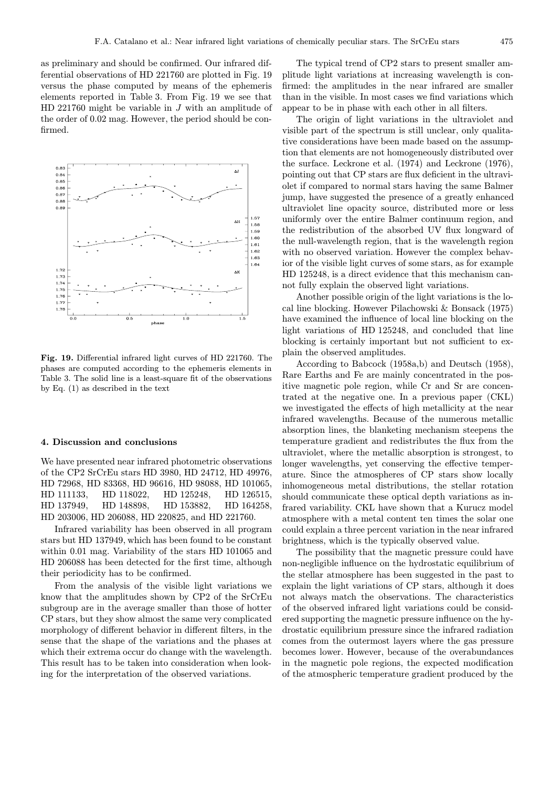as preliminary and should be confirmed. Our infrared differential observations of HD 221760 are plotted in Fig. 19 versus the phase computed by means of the ephemeris elements reported in Table 3. From Fig. 19 we see that HD 221760 might be variable in  $J$  with an amplitude of the order of 0.02 mag. However, the period should be confirmed.



Fig. 19. Differential infrared light curves of HD 221760. The phases are computed according to the ephemeris elements in Table 3. The solid line is a least-square fit of the observations by Eq. (1) as described in the text

#### 4. Discussion and conclusions

We have presented near infrared photometric observations of the CP2 SrCrEu stars HD 3980, HD 24712, HD 49976, HD 72968, HD 83368, HD 96616, HD 98088, HD 101065, HD 111133, HD 118022, HD 125248, HD 126515, HD 137949, HD 148898, HD 153882, HD 164258, HD 203006, HD 206088, HD 220825, and HD 221760.

Infrared variability has been observed in all program stars but HD 137949, which has been found to be constant within 0.01 mag. Variability of the stars HD 101065 and HD 206088 has been detected for the first time, although their periodicity has to be confirmed.

From the analysis of the visible light variations we know that the amplitudes shown by CP2 of the SrCrEu subgroup are in the average smaller than those of hotter CP stars, but they show almost the same very complicated morphology of different behavior in different filters, in the sense that the shape of the variations and the phases at which their extrema occur do change with the wavelength. This result has to be taken into consideration when looking for the interpretation of the observed variations.

The typical trend of CP2 stars to present smaller amplitude light variations at increasing wavelength is confirmed: the amplitudes in the near infrared are smaller than in the visible. In most cases we find variations which appear to be in phase with each other in all filters.

The origin of light variations in the ultraviolet and visible part of the spectrum is still unclear, only qualitative considerations have been made based on the assumption that elements are not homogeneously distributed over the surface. Leckrone et al. (1974) and Leckrone (1976), pointing out that CP stars are flux deficient in the ultraviolet if compared to normal stars having the same Balmer jump, have suggested the presence of a greatly enhanced ultraviolet line opacity source, distributed more or less uniformly over the entire Balmer continuum region, and the redistribution of the absorbed UV flux longward of the null-wavelength region, that is the wavelength region with no observed variation. However the complex behavior of the visible light curves of some stars, as for example HD 125248, is a direct evidence that this mechanism cannot fully explain the observed light variations.

Another possible origin of the light variations is the local line blocking. However Pilachowski & Bonsack (1975) have examined the influence of local line blocking on the light variations of HD 125248, and concluded that line blocking is certainly important but not sufficient to explain the observed amplitudes.

According to Babcock (1958a,b) and Deutsch (1958), Rare Earths and Fe are mainly concentrated in the positive magnetic pole region, while Cr and Sr are concentrated at the negative one. In a previous paper (CKL) we investigated the effects of high metallicity at the near infrared wavelengths. Because of the numerous metallic absorption lines, the blanketing mechanism steepens the temperature gradient and redistributes the flux from the ultraviolet, where the metallic absorption is strongest, to longer wavelengths, yet conserving the effective temperature. Since the atmospheres of CP stars show locally inhomogeneous metal distributions, the stellar rotation should communicate these optical depth variations as infrared variability. CKL have shown that a Kurucz model atmosphere with a metal content ten times the solar one could explain a three percent variation in the near infrared brightness, which is the typically observed value.

The possibility that the magnetic pressure could have non-negligible influence on the hydrostatic equilibrium of the stellar atmosphere has been suggested in the past to explain the light variations of CP stars, although it does not always match the observations. The characteristics of the observed infrared light variations could be considered supporting the magnetic pressure influence on the hydrostatic equilibrium pressure since the infrared radiation comes from the outermost layers where the gas pressure becomes lower. However, because of the overabundances in the magnetic pole regions, the expected modification of the atmospheric temperature gradient produced by the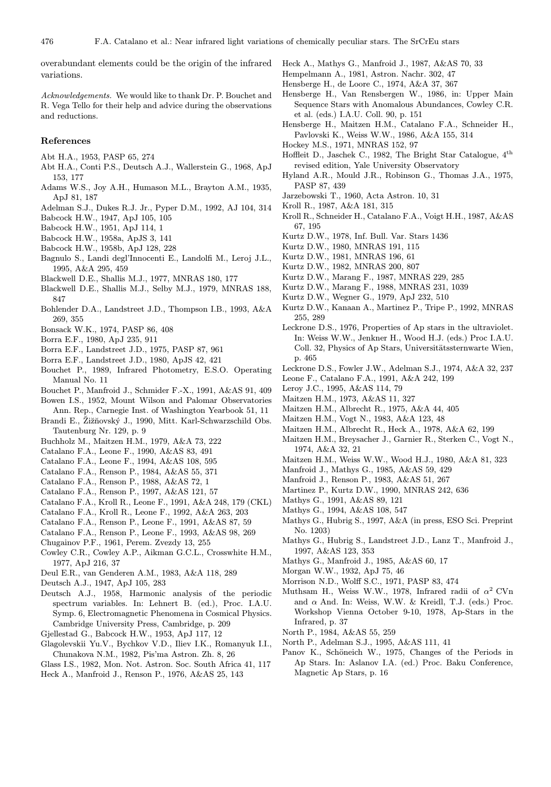overabundant elements could be the origin of the infrared variations.

Acknowledgements. We would like to thank Dr. P. Bouchet and R. Vega Tello for their help and advice during the observations and reductions.

# References

- Abt H.A., 1953, PASP 65, 274
- Abt H.A., Conti P.S., Deutsch A.J., Wallerstein G., 1968, ApJ 153, 177
- Adams W.S., Joy A.H., Humason M.L., Brayton A.M., 1935, ApJ 81, 187
- Adelman S.J., Dukes R.J. Jr., Pyper D.M., 1992, AJ 104, 314
- Babcock H.W., 1947, ApJ 105, 105
- Babcock H.W., 1951, ApJ 114, 1
- Babcock H.W., 1958a, ApJS 3, 141
- Babcock H.W., 1958b, ApJ 128, 228
- Bagnulo S., Landi degl'Innocenti E., Landolfi M., Leroj J.L., 1995, A&A 295, 459
- Blackwell D.E., Shallis M.J., 1977, MNRAS 180, 177
- Blackwell D.E., Shallis M.J., Selby M.J., 1979, MNRAS 188, 847
- Bohlender D.A., Landstreet J.D., Thompson I.B., 1993, A&A 269, 355
- Bonsack W.K., 1974, PASP 86, 408
- Borra E.F., 1980, ApJ 235, 911
- Borra E.F., Landstreet J.D., 1975, PASP 87, 961
- Borra E.F., Landstreet J.D., 1980, ApJS 42, 421
- Bouchet P., 1989, Infrared Photometry, E.S.O. Operating Manual No. 11
- Bouchet P., Manfroid J., Schmider F.-X., 1991, A&AS 91, 409
- Bowen I.S., 1952, Mount Wilson and Palomar Observatories Ann. Rep., Carnegie Inst. of Washington Yearbook 51, 11
- Brandi E., Žižňovský J., 1990, Mitt. Karl-Schwarzschild Obs. Tautenburg Nr. 129, p. 9
- Buchholz M., Maitzen H.M., 1979, A&A 73, 222
- Catalano F.A., Leone F., 1990, A&AS 83, 491
- Catalano F.A., Leone F., 1994, A&AS 108, 595
- Catalano F.A., Renson P., 1984, A&AS 55, 371
- Catalano F.A., Renson P., 1988, A&AS 72, 1
- Catalano F.A., Renson P., 1997, A&AS 121, 57
- Catalano F.A., Kroll R., Leone F., 1991, A&A 248, 179 (CKL)
- Catalano F.A., Kroll R., Leone F., 1992, A&A 263, 203
- Catalano F.A., Renson P., Leone F., 1991, A&AS 87, 59
- Catalano F.A., Renson P., Leone F., 1993, A&AS 98, 269
- Chugainov P.F., 1961, Perem. Zvezdy 13, 255
- Cowley C.R., Cowley A.P., Aikman G.C.L., Crosswhite H.M., 1977, ApJ 216, 37
- Deul E.R., van Genderen A.M., 1983, A&A 118, 289
- Deutsch A.J., 1947, ApJ 105, 283
- Deutsch A.J., 1958, Harmonic analysis of the periodic spectrum variables. In: Lehnert B. (ed.), Proc. I.A.U. Symp. 6, Electromagnetic Phenomena in Cosmical Physics. Cambridge University Press, Cambridge, p. 209
- Gjellestad G., Babcock H.W., 1953, ApJ 117, 12
- Glagolevskii Yu.V., Bychkov V.D., Iliev I.K., Romanyuk I.I., Chunakova N.M., 1982, Pis'ma Astron. Zh. 8, 26
- Glass I.S., 1982, Mon. Not. Astron. Soc. South Africa 41, 117 Heck A., Manfroid J., Renson P., 1976, A&AS 25, 143
- Heck A., Mathys G., Manfroid J., 1987, A&AS 70, 33
- Hempelmann A., 1981, Astron. Nachr. 302, 47
- Hensberge H., de Loore C., 1974, A&A 37, 367
- Hensberge H., Van Rensbergen W., 1986, in: Upper Main Sequence Stars with Anomalous Abundances, Cowley C.R. et al. (eds.) I.A.U. Coll. 90, p. 151
- Hensberge H., Maitzen H.M., Catalano F.A., Schneider H., Pavlovski K., Weiss W.W., 1986, A&A 155, 314
- Hockey M.S., 1971, MNRAS 152, 97
- Hoffleit D., Jaschek C., 1982, The Bright Star Catalogue,  $4^{\text{th}}$ revised edition, Yale University Observatory
- Hyland A.R., Mould J.R., Robinson G., Thomas J.A., 1975, PASP 87, 439
- Jarzebowski T., 1960, Acta Astron. 10, 31
- Kroll R., 1987, A&A 181, 315
- Kroll R., Schneider H., Catalano F.A., Voigt H.H., 1987, A&AS 67, 195
- Kurtz D.W., 1978, Inf. Bull. Var. Stars 1436
- Kurtz D.W., 1980, MNRAS 191, 115
- Kurtz D.W., 1981, MNRAS 196, 61
- Kurtz D.W., 1982, MNRAS 200, 807
- Kurtz D.W., Marang F., 1987, MNRAS 229, 285
- Kurtz D.W., Marang F., 1988, MNRAS 231, 1039
- Kurtz D.W., Wegner G., 1979, ApJ 232, 510
- Kurtz D.W., Kanaan A., Martinez P., Tripe P., 1992, MNRAS 255, 289
- Leckrone D.S., 1976, Properties of Ap stars in the ultraviolet. In: Weiss W.W., Jenkner H., Wood H.J. (eds.) Proc I.A.U. Coll. 32, Physics of Ap Stars, Universitätssternwarte Wien, p. 465
- Leckrone D.S., Fowler J.W., Adelman S.J., 1974, A&A 32, 237
- Leone F., Catalano F.A., 1991, A&A 242, 199
- Leroy J.C., 1995, A&AS 114, 79
- Maitzen H.M., 1973, A&AS 11, 327
- Maitzen H.M., Albrecht R., 1975, A&A 44, 405
- Maitzen H.M., Vogt N., 1983, A&A 123, 48
- Maitzen H.M., Albrecht R., Heck A., 1978, A&A 62, 199
- Maitzen H.M., Breysacher J., Garnier R., Sterken C., Vogt N., 1974, A&A 32, 21
- Maitzen H.M., Weiss W.W., Wood H.J., 1980, A&A 81, 323
- Manfroid J., Mathys G., 1985, A&AS 59, 429
- Manfroid J., Renson P., 1983, A&AS 51, 267
- Martinez P., Kurtz D.W., 1990, MNRAS 242, 636
- Mathys G., 1991, A&AS 89, 121
- Mathys G., 1994, A&AS 108, 547
- Mathys G., Hubrig S., 1997, A&A (in press, ESO Sci. Preprint No. 1203)
- Mathys G., Hubrig S., Landstreet J.D., Lanz T., Manfroid J., 1997, A&AS 123, 353
- Mathys G., Manfroid J., 1985, A&AS 60, 17
- Morgan W.W., 1932, ApJ 75, 46
- Morrison N.D., Wolff S.C., 1971, PASP 83, 474
- Muthsam H., Weiss W.W., 1978, Infrared radii of  $\alpha^2$  CVn and  $\alpha$  And. In: Weiss, W.W. & Kreidl, T.J. (eds.) Proc. Workshop Vienna October 9-10, 1978, Ap-Stars in the Infrared, p. 37
- North P., 1984, A&AS 55, 259
- North P., Adelman S.J., 1995, A&AS 111, 41
- Panov K., Schöneich W., 1975, Changes of the Periods in Ap Stars. In: Aslanov I.A. (ed.) Proc. Baku Conference, Magnetic Ap Stars, p. 16